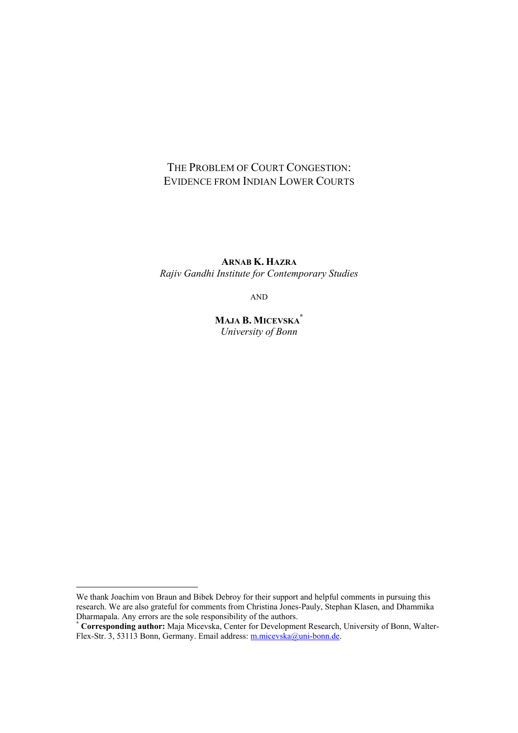# THE PROBLEM OF COURT CONGESTION: EVIDENCE FROM INDIAN LOWER COURTS

**ARNAB K. HAZRA** *Rajiv Gandhi Institute for Contemporary Studies* 

AND

**MAJA B. MICEVSKA\*** *University of Bonn*

 $\overline{a}$ 

We thank Joachim von Braun and Bibek Debroy for their support and helpful comments in pursuing this research. We are also grateful for comments from Christina Jones-Pauly, Stephan Klasen, and Dhammika Dharmapala. Any errors are the sole responsibility of the authors.

**<sup>\*</sup> Corresponding author:** Maja Micevska, Center for Development Research, University of Bonn, Walter-Flex-Str. 3, 53113 Bonn, Germany. Email address: m.micevska@uni-bonn.de.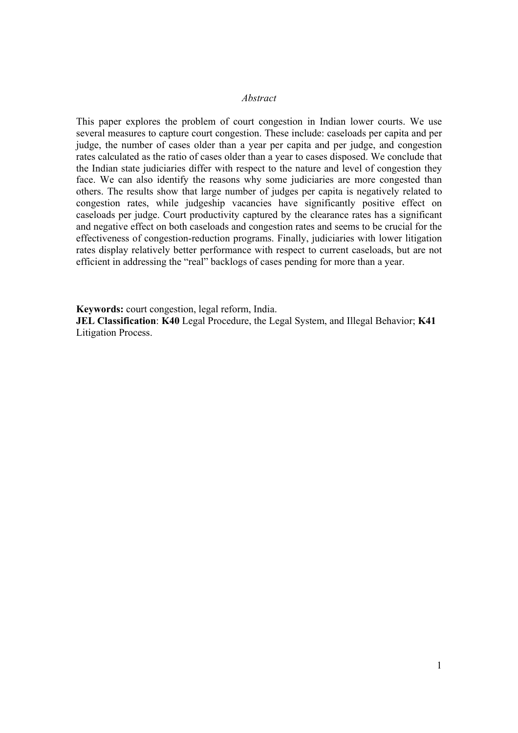#### *Abstract*

This paper explores the problem of court congestion in Indian lower courts. We use several measures to capture court congestion. These include: caseloads per capita and per judge, the number of cases older than a year per capita and per judge, and congestion rates calculated as the ratio of cases older than a year to cases disposed. We conclude that the Indian state judiciaries differ with respect to the nature and level of congestion they face. We can also identify the reasons why some judiciaries are more congested than others. The results show that large number of judges per capita is negatively related to congestion rates, while judgeship vacancies have significantly positive effect on caseloads per judge. Court productivity captured by the clearance rates has a significant and negative effect on both caseloads and congestion rates and seems to be crucial for the effectiveness of congestion-reduction programs. Finally, judiciaries with lower litigation rates display relatively better performance with respect to current caseloads, but are not efficient in addressing the "real" backlogs of cases pending for more than a year.

**Keywords:** court congestion, legal reform, India.

**JEL Classification**: **K40** Legal Procedure, the Legal System, and Illegal Behavior; **K41** Litigation Process.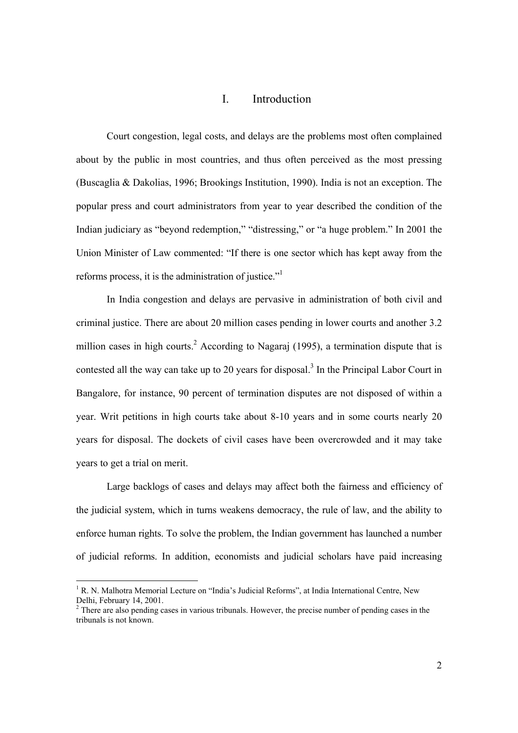### I. Introduction

Court congestion, legal costs, and delays are the problems most often complained about by the public in most countries, and thus often perceived as the most pressing (Buscaglia & Dakolias, 1996; Brookings Institution, 1990). India is not an exception. The popular press and court administrators from year to year described the condition of the Indian judiciary as "beyond redemption," "distressing," or "a huge problem." In 2001 the Union Minister of Law commented: "If there is one sector which has kept away from the reforms process, it is the administration of justice."<sup>1</sup>

In India congestion and delays are pervasive in administration of both civil and criminal justice. There are about 20 million cases pending in lower courts and another 3.2 million cases in high courts.<sup>2</sup> According to Nagaraj (1995), a termination dispute that is contested all the way can take up to 20 years for disposal.<sup>3</sup> In the Principal Labor Court in Bangalore, for instance, 90 percent of termination disputes are not disposed of within a year. Writ petitions in high courts take about 8-10 years and in some courts nearly 20 years for disposal. The dockets of civil cases have been overcrowded and it may take years to get a trial on merit.

Large backlogs of cases and delays may affect both the fairness and efficiency of the judicial system, which in turns weakens democracy, the rule of law, and the ability to enforce human rights. To solve the problem, the Indian government has launched a number of judicial reforms. In addition, economists and judicial scholars have paid increasing

<sup>&</sup>lt;sup>1</sup> R. N. Malhotra Memorial Lecture on "India's Judicial Reforms", at India International Centre, New Delhi, February 14, 2001.

 $2<sup>2</sup>$  There are also pending cases in various tribunals. However, the precise number of pending cases in the tribunals is not known.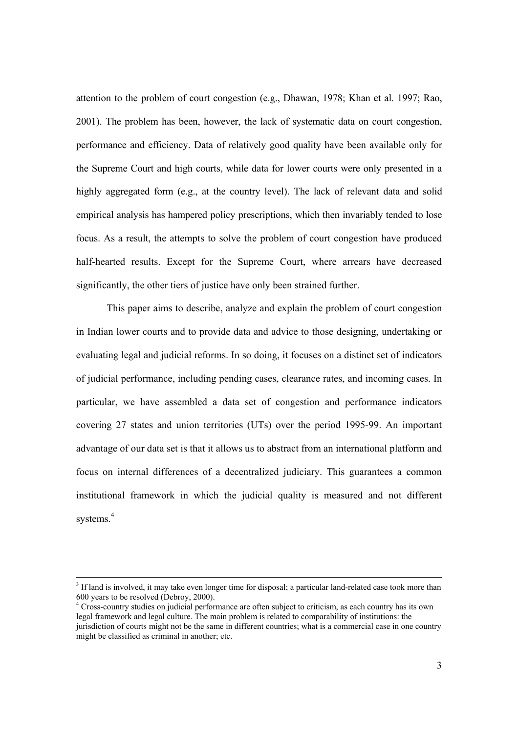attention to the problem of court congestion (e.g., Dhawan, 1978; Khan et al. 1997; Rao, 2001). The problem has been, however, the lack of systematic data on court congestion, performance and efficiency. Data of relatively good quality have been available only for the Supreme Court and high courts, while data for lower courts were only presented in a highly aggregated form (e.g., at the country level). The lack of relevant data and solid empirical analysis has hampered policy prescriptions, which then invariably tended to lose focus. As a result, the attempts to solve the problem of court congestion have produced half-hearted results. Except for the Supreme Court, where arrears have decreased significantly, the other tiers of justice have only been strained further.

This paper aims to describe, analyze and explain the problem of court congestion in Indian lower courts and to provide data and advice to those designing, undertaking or evaluating legal and judicial reforms. In so doing, it focuses on a distinct set of indicators of judicial performance, including pending cases, clearance rates, and incoming cases. In particular, we have assembled a data set of congestion and performance indicators covering 27 states and union territories (UTs) over the period 1995-99. An important advantage of our data set is that it allows us to abstract from an international platform and focus on internal differences of a decentralized judiciary. This guarantees a common institutional framework in which the judicial quality is measured and not different systems.<sup>4</sup>

<sup>&</sup>lt;sup>2</sup><br>3 <sup>3</sup> If land is involved, it may take even longer time for disposal; a particular land-related case took more than 600 years to be resolved (Debroy, 2000).

<sup>&</sup>lt;sup>4</sup> Cross-country studies on judicial performance are often subject to criticism, as each country has its own legal framework and legal culture. The main problem is related to comparability of institutions: the jurisdiction of courts might not be the same in different countries; what is a commercial case in one country might be classified as criminal in another; etc.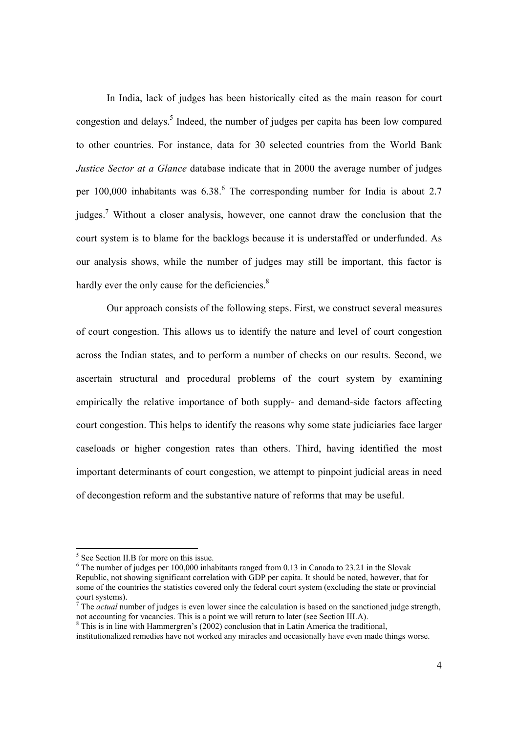In India, lack of judges has been historically cited as the main reason for court congestion and delays.<sup>5</sup> Indeed, the number of judges per capita has been low compared to other countries. For instance, data for 30 selected countries from the World Bank *Justice Sector at a Glance* database indicate that in 2000 the average number of judges per  $100,000$  inhabitants was  $6.38$ .<sup>6</sup> The corresponding number for India is about 2.7 judges.<sup>7</sup> Without a closer analysis, however, one cannot draw the conclusion that the court system is to blame for the backlogs because it is understaffed or underfunded. As our analysis shows, while the number of judges may still be important, this factor is hardly ever the only cause for the deficiencies.<sup>8</sup>

Our approach consists of the following steps. First, we construct several measures of court congestion. This allows us to identify the nature and level of court congestion across the Indian states, and to perform a number of checks on our results. Second, we ascertain structural and procedural problems of the court system by examining empirically the relative importance of both supply- and demand-side factors affecting court congestion. This helps to identify the reasons why some state judiciaries face larger caseloads or higher congestion rates than others. Third, having identified the most important determinants of court congestion, we attempt to pinpoint judicial areas in need of decongestion reform and the substantive nature of reforms that may be useful.

<sup>&</sup>lt;sup>5</sup> See Section II.B for more on this issue.

 $6$  The number of judges per 100,000 inhabitants ranged from 0.13 in Canada to 23.21 in the Slovak Republic, not showing significant correlation with GDP per capita. It should be noted, however, that for some of the countries the statistics covered only the federal court system (excluding the state or provincial court systems).

 $<sup>7</sup>$  The *actual* number of judges is even lower since the calculation is based on the sanctioned judge strength,</sup> not accounting for vacancies. This is a point we will return to later (see Section III.A).

 $8$  This is in line with Hammergren's (2002) conclusion that in Latin America the traditional,

institutionalized remedies have not worked any miracles and occasionally have even made things worse.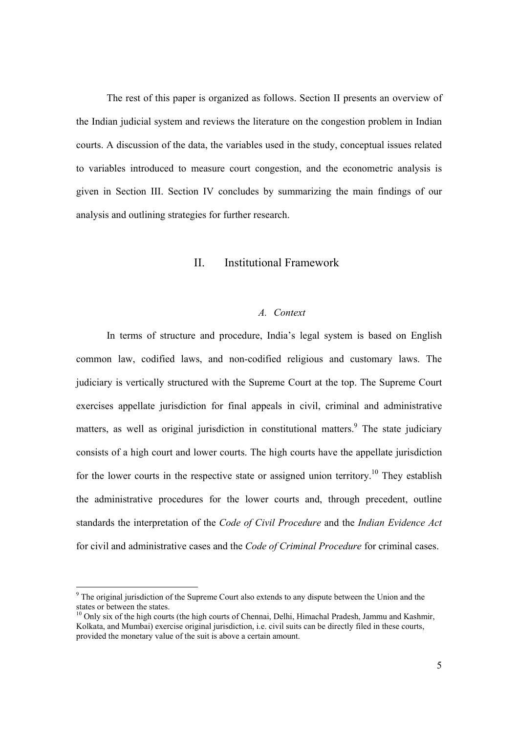The rest of this paper is organized as follows. Section II presents an overview of the Indian judicial system and reviews the literature on the congestion problem in Indian courts. A discussion of the data, the variables used in the study, conceptual issues related to variables introduced to measure court congestion, and the econometric analysis is given in Section III. Section IV concludes by summarizing the main findings of our analysis and outlining strategies for further research.

## II. Institutional Framework

#### *A. Context*

In terms of structure and procedure, India's legal system is based on English common law, codified laws, and non-codified religious and customary laws. The judiciary is vertically structured with the Supreme Court at the top. The Supreme Court exercises appellate jurisdiction for final appeals in civil, criminal and administrative matters, as well as original jurisdiction in constitutional matters.<sup>9</sup> The state judiciary consists of a high court and lower courts. The high courts have the appellate jurisdiction for the lower courts in the respective state or assigned union territory.<sup>10</sup> They establish the administrative procedures for the lower courts and, through precedent, outline standards the interpretation of the *Code of Civil Procedure* and the *Indian Evidence Act* for civil and administrative cases and the *Code of Criminal Procedure* for criminal cases.

 $\overline{a}$ 

 $9<sup>9</sup>$  The original jurisdiction of the Supreme Court also extends to any dispute between the Union and the states or between the states.

 $10$  Only six of the high courts (the high courts of Chennai, Delhi, Himachal Pradesh, Jammu and Kashmir, Kolkata, and Mumbai) exercise original jurisdiction, i.e. civil suits can be directly filed in these courts, provided the monetary value of the suit is above a certain amount.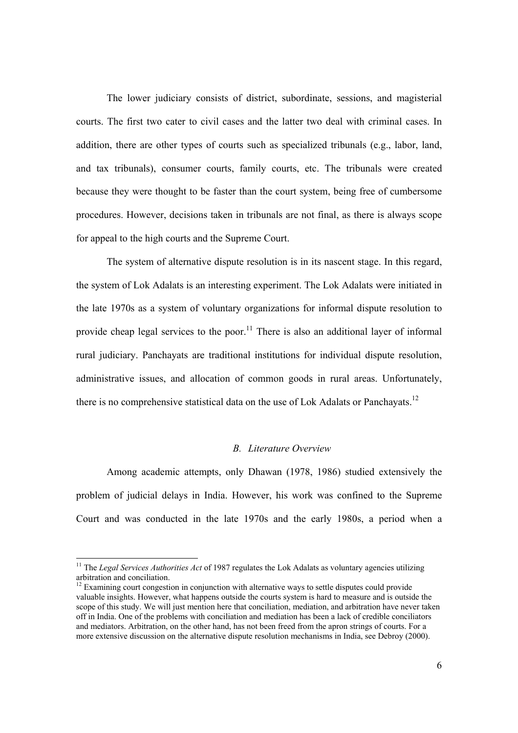The lower judiciary consists of district, subordinate, sessions, and magisterial courts. The first two cater to civil cases and the latter two deal with criminal cases. In addition, there are other types of courts such as specialized tribunals (e.g., labor, land, and tax tribunals), consumer courts, family courts, etc. The tribunals were created because they were thought to be faster than the court system, being free of cumbersome procedures. However, decisions taken in tribunals are not final, as there is always scope for appeal to the high courts and the Supreme Court.

The system of alternative dispute resolution is in its nascent stage. In this regard, the system of Lok Adalats is an interesting experiment. The Lok Adalats were initiated in the late 1970s as a system of voluntary organizations for informal dispute resolution to provide cheap legal services to the poor.<sup>11</sup> There is also an additional layer of informal rural judiciary. Panchayats are traditional institutions for individual dispute resolution, administrative issues, and allocation of common goods in rural areas. Unfortunately, there is no comprehensive statistical data on the use of Lok Adalats or Panchayats.<sup>12</sup>

### *B. Literature Overview*

Among academic attempts, only Dhawan (1978, 1986) studied extensively the problem of judicial delays in India. However, his work was confined to the Supreme Court and was conducted in the late 1970s and the early 1980s, a period when a

<sup>&</sup>lt;sup>11</sup> The *Legal Services Authorities Act* of 1987 regulates the Lok Adalats as voluntary agencies utilizing arbitration and conciliation.

 $12$  Examining court congestion in conjunction with alternative ways to settle disputes could provide valuable insights. However, what happens outside the courts system is hard to measure and is outside the scope of this study. We will just mention here that conciliation, mediation, and arbitration have never taken off in India. One of the problems with conciliation and mediation has been a lack of credible conciliators and mediators. Arbitration, on the other hand, has not been freed from the apron strings of courts. For a more extensive discussion on the alternative dispute resolution mechanisms in India, see Debroy (2000).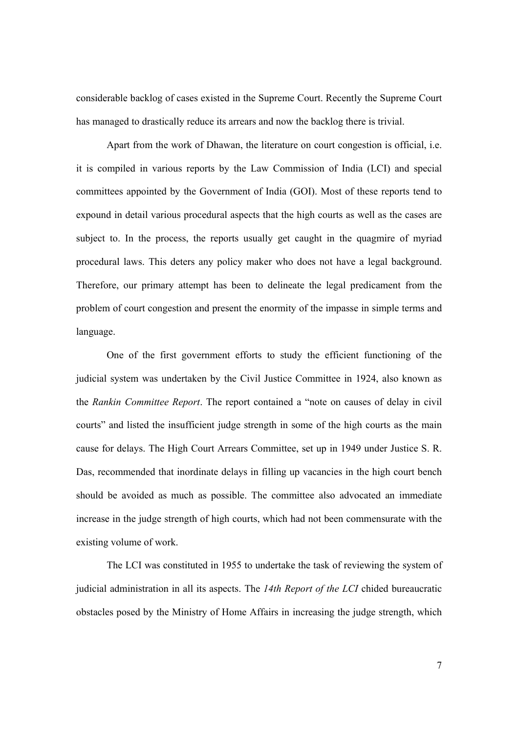considerable backlog of cases existed in the Supreme Court. Recently the Supreme Court has managed to drastically reduce its arrears and now the backlog there is trivial.

Apart from the work of Dhawan, the literature on court congestion is official, i.e. it is compiled in various reports by the Law Commission of India (LCI) and special committees appointed by the Government of India (GOI). Most of these reports tend to expound in detail various procedural aspects that the high courts as well as the cases are subject to. In the process, the reports usually get caught in the quagmire of myriad procedural laws. This deters any policy maker who does not have a legal background. Therefore, our primary attempt has been to delineate the legal predicament from the problem of court congestion and present the enormity of the impasse in simple terms and language.

One of the first government efforts to study the efficient functioning of the judicial system was undertaken by the Civil Justice Committee in 1924, also known as the *Rankin Committee Report*. The report contained a "note on causes of delay in civil courts" and listed the insufficient judge strength in some of the high courts as the main cause for delays. The High Court Arrears Committee, set up in 1949 under Justice S. R. Das, recommended that inordinate delays in filling up vacancies in the high court bench should be avoided as much as possible. The committee also advocated an immediate increase in the judge strength of high courts, which had not been commensurate with the existing volume of work.

The LCI was constituted in 1955 to undertake the task of reviewing the system of judicial administration in all its aspects. The *14th Report of the LCI* chided bureaucratic obstacles posed by the Ministry of Home Affairs in increasing the judge strength, which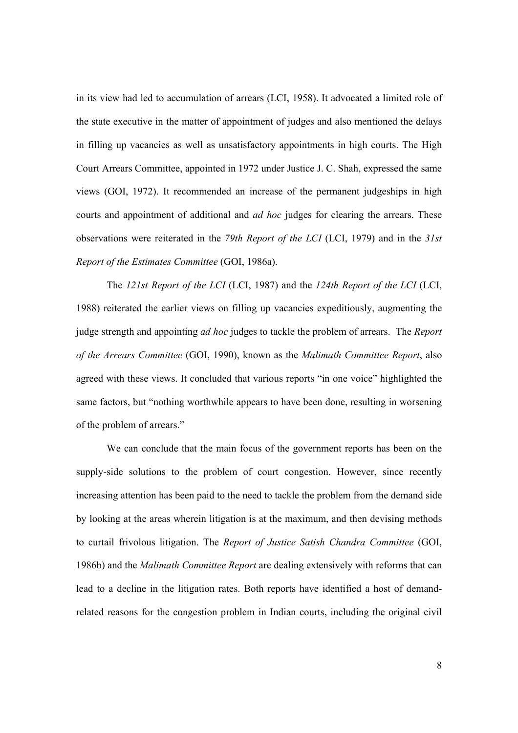in its view had led to accumulation of arrears (LCI, 1958). It advocated a limited role of the state executive in the matter of appointment of judges and also mentioned the delays in filling up vacancies as well as unsatisfactory appointments in high courts. The High Court Arrears Committee, appointed in 1972 under Justice J. C. Shah, expressed the same views (GOI, 1972). It recommended an increase of the permanent judgeships in high courts and appointment of additional and *ad hoc* judges for clearing the arrears. These observations were reiterated in the *79th Report of the LCI* (LCI, 1979) and in the *31st Report of the Estimates Committee* (GOI, 1986a).

The *121st Report of the LCI* (LCI, 1987) and the *124th Report of the LCI* (LCI, 1988) reiterated the earlier views on filling up vacancies expeditiously, augmenting the judge strength and appointing *ad hoc* judges to tackle the problem of arrears. The *Report of the Arrears Committee* (GOI, 1990), known as the *Malimath Committee Report*, also agreed with these views. It concluded that various reports "in one voice" highlighted the same factors, but "nothing worthwhile appears to have been done, resulting in worsening of the problem of arrears."

We can conclude that the main focus of the government reports has been on the supply-side solutions to the problem of court congestion. However, since recently increasing attention has been paid to the need to tackle the problem from the demand side by looking at the areas wherein litigation is at the maximum, and then devising methods to curtail frivolous litigation. The *Report of Justice Satish Chandra Committee* (GOI, 1986b) and the *Malimath Committee Report* are dealing extensively with reforms that can lead to a decline in the litigation rates. Both reports have identified a host of demandrelated reasons for the congestion problem in Indian courts, including the original civil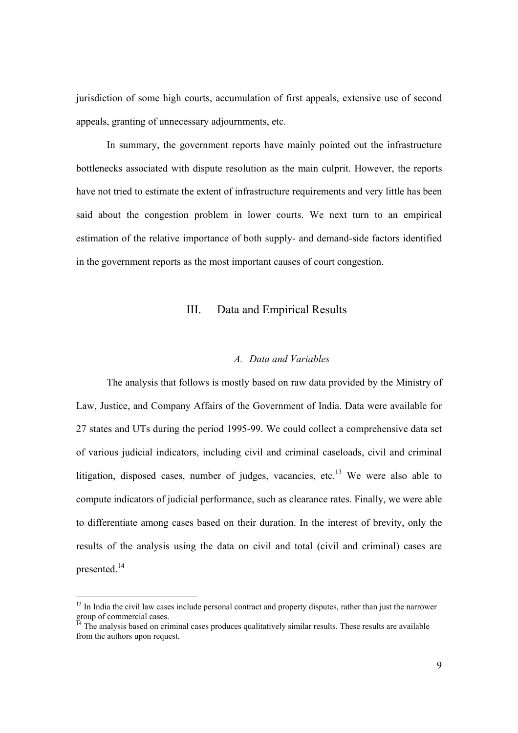jurisdiction of some high courts, accumulation of first appeals, extensive use of second appeals, granting of unnecessary adjournments, etc.

In summary, the government reports have mainly pointed out the infrastructure bottlenecks associated with dispute resolution as the main culprit. However, the reports have not tried to estimate the extent of infrastructure requirements and very little has been said about the congestion problem in lower courts. We next turn to an empirical estimation of the relative importance of both supply- and demand-side factors identified in the government reports as the most important causes of court congestion.

## III. Data and Empirical Results

### *A. Data and Variables*

The analysis that follows is mostly based on raw data provided by the Ministry of Law, Justice, and Company Affairs of the Government of India. Data were available for 27 states and UTs during the period 1995-99. We could collect a comprehensive data set of various judicial indicators, including civil and criminal caseloads, civil and criminal litigation, disposed cases, number of judges, vacancies, etc.<sup>13</sup> We were also able to compute indicators of judicial performance, such as clearance rates. Finally, we were able to differentiate among cases based on their duration. In the interest of brevity, only the results of the analysis using the data on civil and total (civil and criminal) cases are presented<sup>14</sup>

<sup>&</sup>lt;sup>13</sup> In India the civil law cases include personal contract and property disputes, rather than just the narrower group of commercial cases.

 $<sup>14</sup>$  The analysis based on criminal cases produces qualitatively similar results. These results are available</sup> from the authors upon request.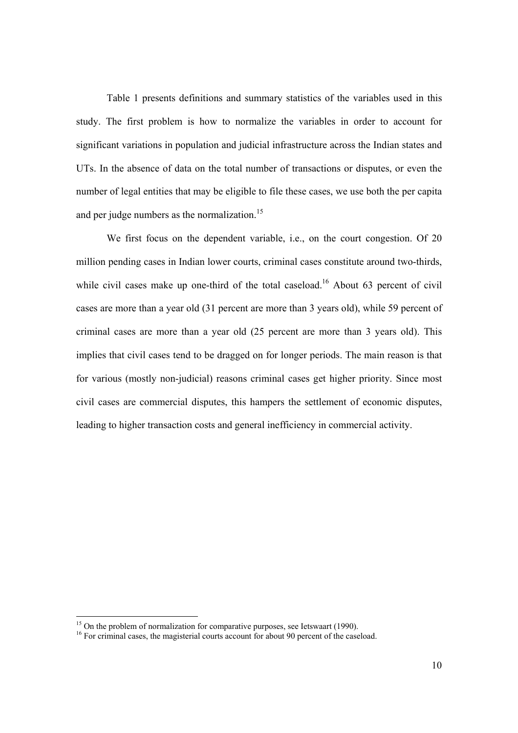Table 1 presents definitions and summary statistics of the variables used in this study. The first problem is how to normalize the variables in order to account for significant variations in population and judicial infrastructure across the Indian states and UTs. In the absence of data on the total number of transactions or disputes, or even the number of legal entities that may be eligible to file these cases, we use both the per capita and per judge numbers as the normalization.<sup>15</sup>

We first focus on the dependent variable, i.e., on the court congestion. Of 20 million pending cases in Indian lower courts, criminal cases constitute around two-thirds, while civil cases make up one-third of the total caseload.<sup>16</sup> About 63 percent of civil cases are more than a year old (31 percent are more than 3 years old), while 59 percent of criminal cases are more than a year old (25 percent are more than 3 years old). This implies that civil cases tend to be dragged on for longer periods. The main reason is that for various (mostly non-judicial) reasons criminal cases get higher priority. Since most civil cases are commercial disputes, this hampers the settlement of economic disputes, leading to higher transaction costs and general inefficiency in commercial activity.

<sup>&</sup>lt;sup>15</sup> On the problem of normalization for comparative purposes, see Ietswaart (1990).

<sup>&</sup>lt;sup>16</sup> For criminal cases, the magisterial courts account for about 90 percent of the caseload.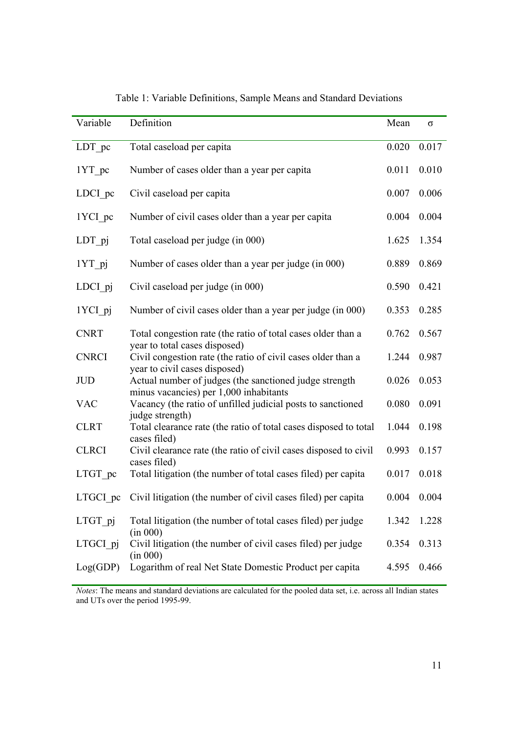| Variable            | Definition                                                                                            | Mean  | σ     |
|---------------------|-------------------------------------------------------------------------------------------------------|-------|-------|
| LDT pc              | Total caseload per capita                                                                             | 0.020 | 0.017 |
| 1YT pc              | Number of cases older than a year per capita                                                          | 0.011 | 0.010 |
| LDCI pc             | Civil caseload per capita                                                                             | 0.007 | 0.006 |
| 1YCI pc             | Number of civil cases older than a year per capita                                                    | 0.004 | 0.004 |
| $LDT$ <sub>pj</sub> | Total caseload per judge (in 000)                                                                     | 1.625 | 1.354 |
| $1YT$ _pj           | Number of cases older than a year per judge (in 000)                                                  | 0.889 | 0.869 |
| LDCI pj             | Civil caseload per judge (in 000)                                                                     | 0.590 | 0.421 |
| 1YCI_pj             | Number of civil cases older than a year per judge (in 000)                                            | 0.353 | 0.285 |
| <b>CNRT</b>         | Total congestion rate (the ratio of total cases older than a                                          | 0.762 | 0.567 |
| <b>CNRCI</b>        | year to total cases disposed)<br>Civil congestion rate (the ratio of civil cases older than a         | 1.244 | 0.987 |
| JUD                 | year to civil cases disposed)<br>Actual number of judges (the sanctioned judge strength               | 0.026 | 0.053 |
| <b>VAC</b>          | minus vacancies) per 1,000 inhabitants<br>Vacancy (the ratio of unfilled judicial posts to sanctioned | 0.080 | 0.091 |
| <b>CLRT</b>         | judge strength)<br>Total clearance rate (the ratio of total cases disposed to total                   | 1.044 | 0.198 |
| <b>CLRCI</b>        | cases filed)<br>Civil clearance rate (the ratio of civil cases disposed to civil                      | 0.993 | 0.157 |
| LTGT pc             | cases filed)<br>Total litigation (the number of total cases filed) per capita                         | 0.017 | 0.018 |
| LTGCI pc            | Civil litigation (the number of civil cases filed) per capita                                         | 0.004 | 0.004 |
| LTGT pj             | Total litigation (the number of total cases filed) per judge                                          | 1.342 | 1.228 |
| LTGCI pj            | (in 000)<br>Civil litigation (the number of civil cases filed) per judge                              | 0.354 | 0.313 |
| Log(GDP)            | (in 000)<br>Logarithm of real Net State Domestic Product per capita                                   | 4.595 | 0.466 |

Table 1: Variable Definitions, Sample Means and Standard Deviations

*Notes*: The means and standard deviations are calculated for the pooled data set, i.e. across all Indian states and UTs over the period 1995-99.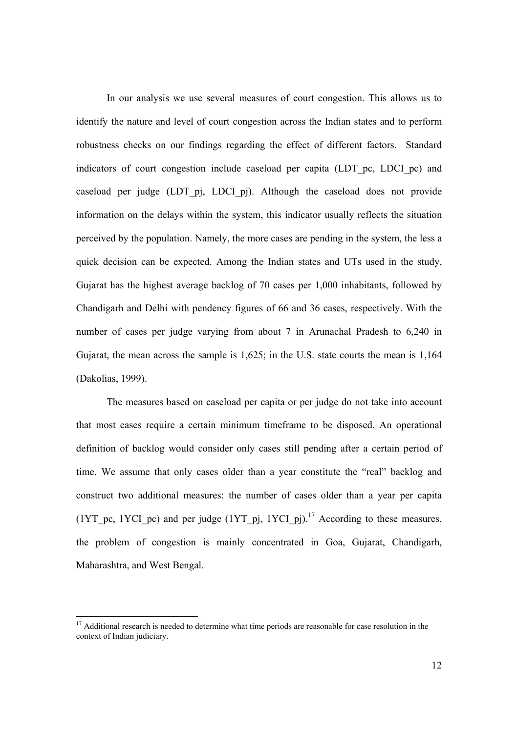In our analysis we use several measures of court congestion. This allows us to identify the nature and level of court congestion across the Indian states and to perform robustness checks on our findings regarding the effect of different factors. Standard indicators of court congestion include caseload per capita (LDT\_pc, LDCI\_pc) and caseload per judge (LDT\_pj, LDCI\_pj). Although the caseload does not provide information on the delays within the system, this indicator usually reflects the situation perceived by the population. Namely, the more cases are pending in the system, the less a quick decision can be expected. Among the Indian states and UTs used in the study, Gujarat has the highest average backlog of 70 cases per 1,000 inhabitants, followed by Chandigarh and Delhi with pendency figures of 66 and 36 cases, respectively. With the number of cases per judge varying from about 7 in Arunachal Pradesh to 6,240 in Gujarat, the mean across the sample is 1,625; in the U.S. state courts the mean is 1,164 (Dakolias, 1999).

The measures based on caseload per capita or per judge do not take into account that most cases require a certain minimum timeframe to be disposed. An operational definition of backlog would consider only cases still pending after a certain period of time. We assume that only cases older than a year constitute the "real" backlog and construct two additional measures: the number of cases older than a year per capita (1YT pc, 1YCI pc) and per judge (1YT pj, 1YCI pj).<sup>17</sup> According to these measures, the problem of congestion is mainly concentrated in Goa, Gujarat, Chandigarh, Maharashtra, and West Bengal.

<sup>&</sup>lt;sup>17</sup> Additional research is needed to determine what time periods are reasonable for case resolution in the context of Indian judiciary.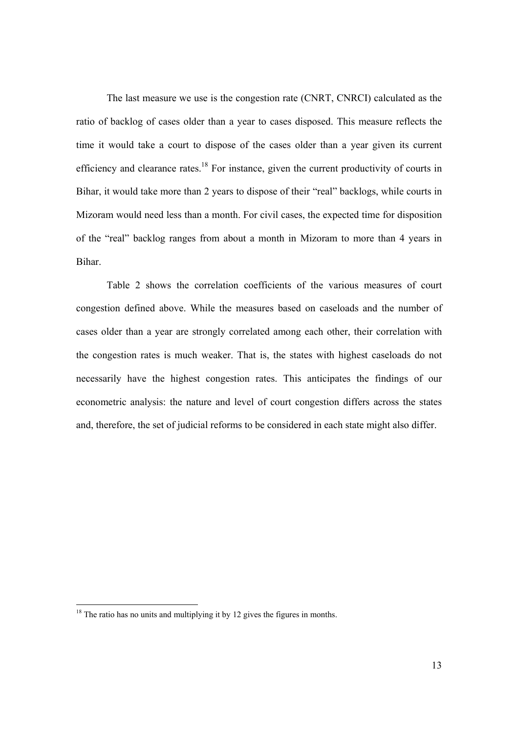The last measure we use is the congestion rate (CNRT, CNRCI) calculated as the ratio of backlog of cases older than a year to cases disposed. This measure reflects the time it would take a court to dispose of the cases older than a year given its current efficiency and clearance rates.<sup>18</sup> For instance, given the current productivity of courts in Bihar, it would take more than 2 years to dispose of their "real" backlogs, while courts in Mizoram would need less than a month. For civil cases, the expected time for disposition of the "real" backlog ranges from about a month in Mizoram to more than 4 years in Bihar.

Table 2 shows the correlation coefficients of the various measures of court congestion defined above. While the measures based on caseloads and the number of cases older than a year are strongly correlated among each other, their correlation with the congestion rates is much weaker. That is, the states with highest caseloads do not necessarily have the highest congestion rates. This anticipates the findings of our econometric analysis: the nature and level of court congestion differs across the states and, therefore, the set of judicial reforms to be considered in each state might also differ.

<sup>&</sup>lt;sup>18</sup> The ratio has no units and multiplying it by 12 gives the figures in months.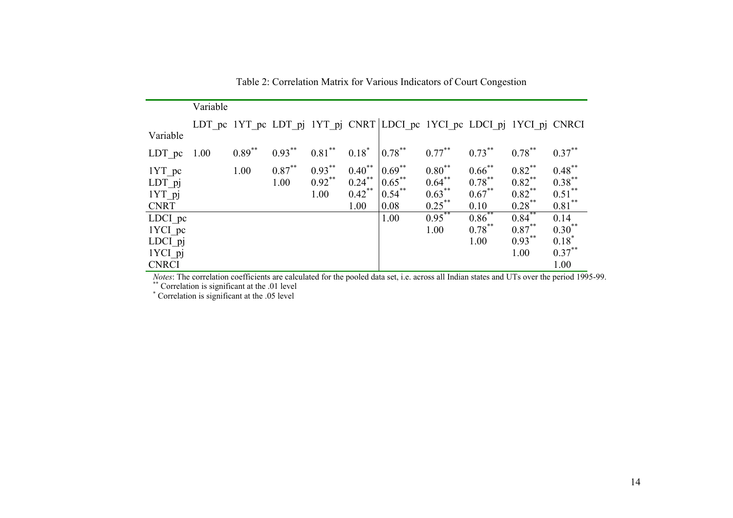|                                                                                                                                                    | Variable |          |           |           |             |                                                                        |             |           |           |             |
|----------------------------------------------------------------------------------------------------------------------------------------------------|----------|----------|-----------|-----------|-------------|------------------------------------------------------------------------|-------------|-----------|-----------|-------------|
|                                                                                                                                                    |          |          |           |           |             | LDT pc 1YT pc LDT pj 1YT pj CNRT LDCI pc 1YCI pc LDCI pj 1YCI pj CNRCI |             |           |           |             |
| Variable                                                                                                                                           |          |          |           |           |             |                                                                        |             |           |           |             |
| LDT pc                                                                                                                                             | 1.00     | $0.89**$ | $0.93***$ | $0.81***$ | $0.18^*$    | $0.78***$                                                              | $0.77***$   | $0.73***$ | $0.78***$ | $0.37***$   |
| $1YT$ pc                                                                                                                                           |          | 1.00     | $0.87***$ | $0.93***$ | $0.40^{**}$ | $0.69***$                                                              | $0.80^{**}$ | $0.66$ ** | $0.82***$ | $0.48***$   |
| LDT_pj                                                                                                                                             |          |          | 1.00      | $0.92$ ** | $0.24$ **   | $0.65$ **                                                              | $0.64$ **   | $0.78***$ | $0.82$ ** | $0.38***$   |
| $1YT$ pj                                                                                                                                           |          |          |           | 1.00      | $0.42$ **   | $0.54$ **                                                              | $0.63***$   | $0.67***$ | $0.82$ ** | $0.51$ **   |
| <b>CNRT</b>                                                                                                                                        |          |          |           |           | 1.00        | 0.08                                                                   | $0.25$ **   | 0.10      | $0.28***$ | $0.81***$   |
| LDCI pc                                                                                                                                            |          |          |           |           |             | 1.00                                                                   | $0.95***$   | $0.86$ ** | $0.84$ ** | 0.14        |
| 1YCI pc                                                                                                                                            |          |          |           |           |             |                                                                        | 1.00        | $0.78***$ | $0.87***$ | $0.30^{**}$ |
| LDCI pj                                                                                                                                            |          |          |           |           |             |                                                                        |             | 1.00      | $0.93***$ | $0.18*$     |
| 1YCI pj                                                                                                                                            |          |          |           |           |             |                                                                        |             |           | 1.00      | $0.37***$   |
| <b>CNRCI</b>                                                                                                                                       |          |          |           |           |             |                                                                        |             |           |           | 1.00        |
| <i>Notes</i> : The correlation coefficients are calculated for the pooled data set, i.e. across all Indian states and UTs over the period 1995-99. |          |          |           |           |             |                                                                        |             |           |           |             |

Table 2: Correlation Matrix for Various Indicators of Court Congestion

\*\* Correlation is significant at the .01 level

\* Correlation is significant at the .05 level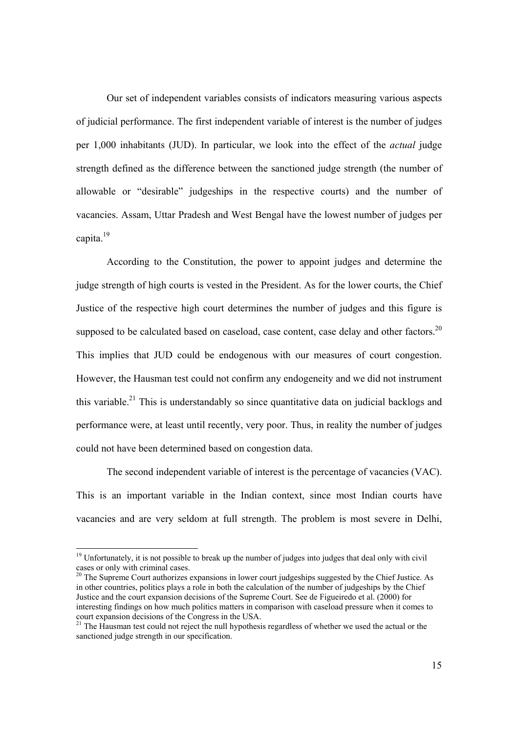Our set of independent variables consists of indicators measuring various aspects of judicial performance. The first independent variable of interest is the number of judges per 1,000 inhabitants (JUD). In particular, we look into the effect of the *actual* judge strength defined as the difference between the sanctioned judge strength (the number of allowable or "desirable" judgeships in the respective courts) and the number of vacancies. Assam, Uttar Pradesh and West Bengal have the lowest number of judges per capita.<sup>19</sup>

According to the Constitution, the power to appoint judges and determine the judge strength of high courts is vested in the President. As for the lower courts, the Chief Justice of the respective high court determines the number of judges and this figure is supposed to be calculated based on caseload, case content, case delay and other factors.<sup>20</sup> This implies that JUD could be endogenous with our measures of court congestion. However, the Hausman test could not confirm any endogeneity and we did not instrument this variable.<sup>21</sup> This is understandably so since quantitative data on judicial backlogs and performance were, at least until recently, very poor. Thus, in reality the number of judges could not have been determined based on congestion data.

The second independent variable of interest is the percentage of vacancies (VAC). This is an important variable in the Indian context, since most Indian courts have vacancies and are very seldom at full strength. The problem is most severe in Delhi,

 $19$  Unfortunately, it is not possible to break up the number of judges into judges that deal only with civil cases or only with criminal cases.

 $20$  The Supreme Court authorizes expansions in lower court judgeships suggested by the Chief Justice. As in other countries, politics plays a role in both the calculation of the number of judgeships by the Chief Justice and the court expansion decisions of the Supreme Court. See de Figueiredo et al. (2000) for interesting findings on how much politics matters in comparison with caseload pressure when it comes to court expansion decisions of the Congress in the USA.

<sup>&</sup>lt;sup>21</sup> The Hausman test could not reject the null hypothesis regardless of whether we used the actual or the sanctioned judge strength in our specification.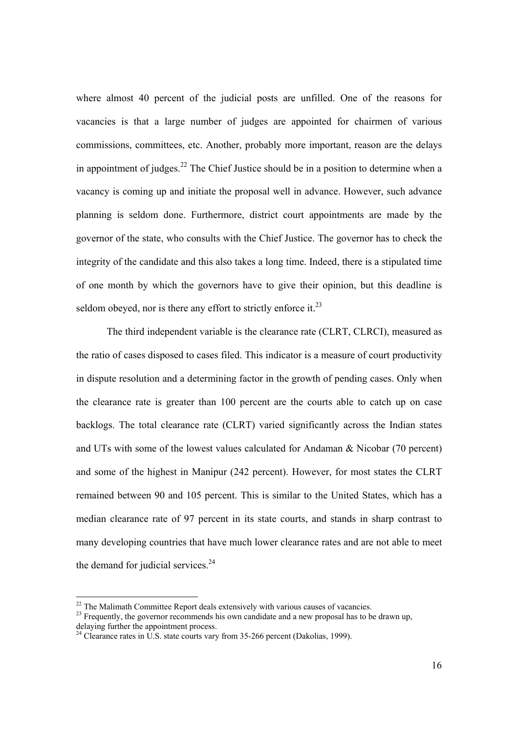where almost 40 percent of the judicial posts are unfilled. One of the reasons for vacancies is that a large number of judges are appointed for chairmen of various commissions, committees, etc. Another, probably more important, reason are the delays in appointment of judges.<sup>22</sup> The Chief Justice should be in a position to determine when a vacancy is coming up and initiate the proposal well in advance. However, such advance planning is seldom done. Furthermore, district court appointments are made by the governor of the state, who consults with the Chief Justice. The governor has to check the integrity of the candidate and this also takes a long time. Indeed, there is a stipulated time of one month by which the governors have to give their opinion, but this deadline is seldom obeyed, nor is there any effort to strictly enforce it.<sup>23</sup>

The third independent variable is the clearance rate (CLRT, CLRCI), measured as the ratio of cases disposed to cases filed. This indicator is a measure of court productivity in dispute resolution and a determining factor in the growth of pending cases. Only when the clearance rate is greater than 100 percent are the courts able to catch up on case backlogs. The total clearance rate (CLRT) varied significantly across the Indian states and UTs with some of the lowest values calculated for Andaman & Nicobar (70 percent) and some of the highest in Manipur (242 percent). However, for most states the CLRT remained between 90 and 105 percent. This is similar to the United States, which has a median clearance rate of 97 percent in its state courts, and stands in sharp contrast to many developing countries that have much lower clearance rates and are not able to meet the demand for judicial services. $24$ 

 $22$ <sup>22</sup> The Malimath Committee Report deals extensively with various causes of vacancies.

<sup>&</sup>lt;sup>23</sup> Frequently, the governor recommends his own candidate and a new proposal has to be drawn up, delaying further the appointment process.

 $^{24}$  Clearance rates in U.S. state courts vary from 35-266 percent (Dakolias, 1999).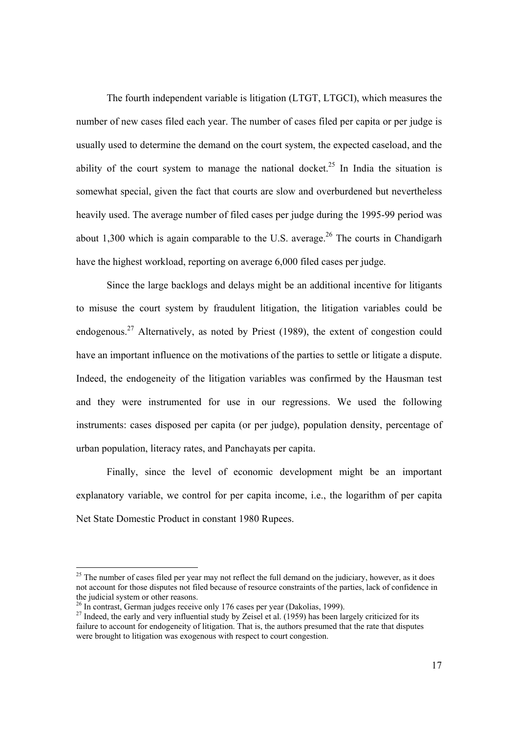The fourth independent variable is litigation (LTGT, LTGCI), which measures the number of new cases filed each year. The number of cases filed per capita or per judge is usually used to determine the demand on the court system, the expected caseload, and the ability of the court system to manage the national docket.<sup>25</sup> In India the situation is somewhat special, given the fact that courts are slow and overburdened but nevertheless heavily used. The average number of filed cases per judge during the 1995-99 period was about 1,300 which is again comparable to the U.S. average.<sup>26</sup> The courts in Chandigarh have the highest workload, reporting on average 6,000 filed cases per judge.

Since the large backlogs and delays might be an additional incentive for litigants to misuse the court system by fraudulent litigation, the litigation variables could be endogenous.27 Alternatively, as noted by Priest (1989), the extent of congestion could have an important influence on the motivations of the parties to settle or litigate a dispute. Indeed, the endogeneity of the litigation variables was confirmed by the Hausman test and they were instrumented for use in our regressions. We used the following instruments: cases disposed per capita (or per judge), population density, percentage of urban population, literacy rates, and Panchayats per capita.

 Finally, since the level of economic development might be an important explanatory variable, we control for per capita income, i.e., the logarithm of per capita Net State Domestic Product in constant 1980 Rupees.

 $25$  The number of cases filed per year may not reflect the full demand on the judiciary, however, as it does not account for those disputes not filed because of resource constraints of the parties, lack of confidence in the judicial system or other reasons.

 $^{26}$  In contrast, German judges receive only 176 cases per year (Dakolias, 1999).

<sup>&</sup>lt;sup>27</sup> Indeed, the early and very influential study by Zeisel et al. (1959) has been largely criticized for its failure to account for endogeneity of litigation. That is, the authors presumed that the rate that disputes were brought to litigation was exogenous with respect to court congestion.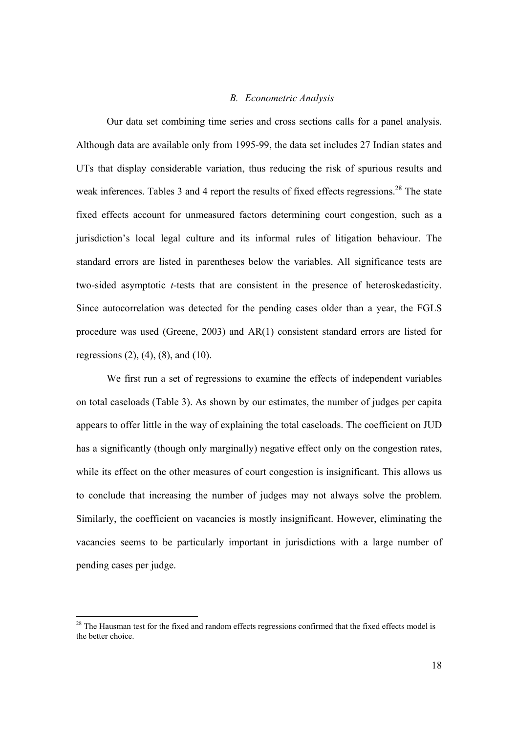## *B. Econometric Analysis*

Our data set combining time series and cross sections calls for a panel analysis. Although data are available only from 1995-99, the data set includes 27 Indian states and UTs that display considerable variation, thus reducing the risk of spurious results and weak inferences. Tables 3 and 4 report the results of fixed effects regressions.<sup>28</sup> The state fixed effects account for unmeasured factors determining court congestion, such as a jurisdiction's local legal culture and its informal rules of litigation behaviour. The standard errors are listed in parentheses below the variables. All significance tests are two-sided asymptotic *t*-tests that are consistent in the presence of heteroskedasticity. Since autocorrelation was detected for the pending cases older than a year, the FGLS procedure was used (Greene, 2003) and AR(1) consistent standard errors are listed for regressions  $(2)$ ,  $(4)$ ,  $(8)$ , and  $(10)$ .

 We first run a set of regressions to examine the effects of independent variables on total caseloads (Table 3). As shown by our estimates, the number of judges per capita appears to offer little in the way of explaining the total caseloads. The coefficient on JUD has a significantly (though only marginally) negative effect only on the congestion rates, while its effect on the other measures of court congestion is insignificant. This allows us to conclude that increasing the number of judges may not always solve the problem. Similarly, the coefficient on vacancies is mostly insignificant. However, eliminating the vacancies seems to be particularly important in jurisdictions with a large number of pending cases per judge.

<sup>&</sup>lt;sup>28</sup> The Hausman test for the fixed and random effects regressions confirmed that the fixed effects model is the better choice.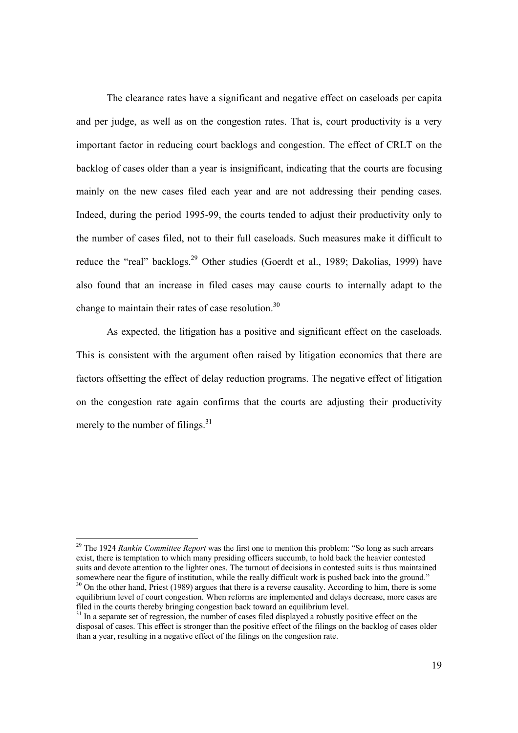The clearance rates have a significant and negative effect on caseloads per capita and per judge, as well as on the congestion rates. That is, court productivity is a very important factor in reducing court backlogs and congestion. The effect of CRLT on the backlog of cases older than a year is insignificant, indicating that the courts are focusing mainly on the new cases filed each year and are not addressing their pending cases. Indeed, during the period 1995-99, the courts tended to adjust their productivity only to the number of cases filed, not to their full caseloads. Such measures make it difficult to reduce the "real" backlogs.<sup>29</sup> Other studies (Goerdt et al., 1989; Dakolias, 1999) have also found that an increase in filed cases may cause courts to internally adapt to the change to maintain their rates of case resolution.<sup>30</sup>

As expected, the litigation has a positive and significant effect on the caseloads. This is consistent with the argument often raised by litigation economics that there are factors offsetting the effect of delay reduction programs. The negative effect of litigation on the congestion rate again confirms that the courts are adjusting their productivity merely to the number of filings.<sup>31</sup>

<sup>29</sup> The 1924 *Rankin Committee Report* was the first one to mention this problem: "So long as such arrears exist, there is temptation to which many presiding officers succumb, to hold back the heavier contested suits and devote attention to the lighter ones. The turnout of decisions in contested suits is thus maintained somewhere near the figure of institution, while the really difficult work is pushed back into the ground." <sup>30</sup> On the other hand, Priest (1989) argues that there is a reverse causality. According to him, there is some

equilibrium level of court congestion. When reforms are implemented and delays decrease, more cases are filed in the courts thereby bringing congestion back toward an equilibrium level.

 $31$  In a separate set of regression, the number of cases filed displayed a robustly positive effect on the disposal of cases. This effect is stronger than the positive effect of the filings on the backlog of cases older than a year, resulting in a negative effect of the filings on the congestion rate.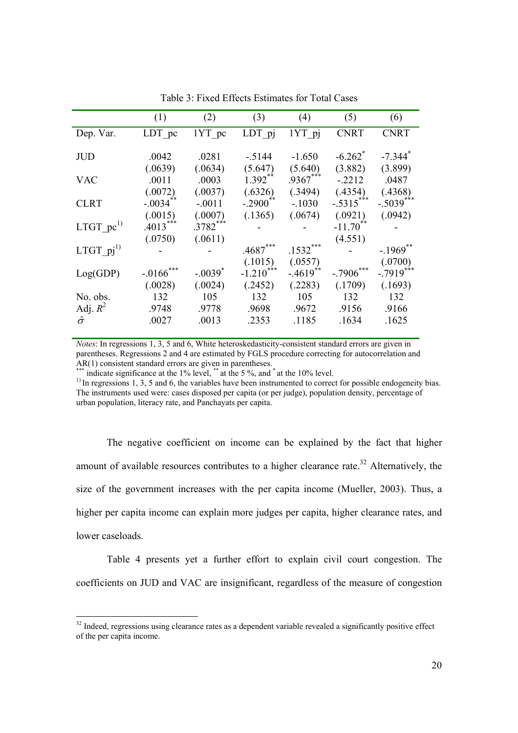|                              | (1)                   | (2)                   | (3)                               | (4)                   | (5)                         | (6)                    |
|------------------------------|-----------------------|-----------------------|-----------------------------------|-----------------------|-----------------------------|------------------------|
| Dep. Var.                    | LDT pc                | 1YT pc                | LDT pj                            | 1YT pj                | <b>CNRT</b>                 | <b>CNRT</b>            |
| <b>JUD</b>                   | .0042                 | .0281                 | $-5144$                           | $-1.650$              | $-6.262$ <sup>*</sup>       | $-7.344$ <sup>*</sup>  |
| <b>VAC</b>                   | (.0639)<br>.0011      | (.0634)<br>.0003      | (5.647)<br>$1.392**$              | (5.640)<br>$.9367***$ | (3.882)<br>$-2212$          | (3.899)<br>.0487       |
| <b>CLRT</b>                  | (.0072)<br>$-.0034$   | (.0037)<br>$-.0011$   | (.6326)<br>$-.2900$ <sup>**</sup> | (.3494)<br>$-.1030$   | (.4354)<br>$-.5315***$      | (.4368)<br>$-.5039***$ |
| LTGT $pc^{1}$                | (.0015)<br>$.4013***$ | (.0007)<br>$.3782***$ | (.1365)                           | (.0674)               | (.0921)<br>$-11.70^{\circ}$ | (.0942)                |
| LTGT $pi^{1}$                | (.0750)               | (.0611)               | .4687                             | .1532                 | (4.551)                     | $-.1969$ <sup>*</sup>  |
| Log(GDP)                     | $-.0166$              | $-.0039$              | (.1015)<br>$-1.210$               | (.0557)<br>$-4619$    | -.7906                      | (.0700)<br>$-.7919***$ |
| No. obs.                     | (.0028)<br>132        | (.0024)<br>105        | (.2452)<br>132                    | (.2283)<br>105        | (.1709)<br>132              | (.1693)<br>132         |
| Adj. $R^2$<br>$\hat{\sigma}$ | .9748<br>.0027        | .9778<br>.0013        | .9698<br>.2353                    | .9672<br>.1185        | .9156<br>.1634              | .9166<br>.1625         |

Table 3: Fixed Effects Estimates for Total Cases

*Notes*: In regressions 1, 3, 5 and 6, White heteroskedasticity-consistent standard errors are given in parentheses. Regressions 2 and 4 are estimated by FGLS procedure correcting for autocorrelation and AR(1) consistent standard errors are given in parentheses.

\*\*\*\* indicate significance at the 1% level, \*\*\* at the 5 %, and \* at the 10% level.

<sup>1)</sup> In regressions 1, 3, 5 and 6, the variables have been instrumented to correct for possible endogeneity bias. The instruments used were: cases disposed per capita (or per judge), population density, percentage of urban population, literacy rate, and Panchayats per capita.

 The negative coefficient on income can be explained by the fact that higher amount of available resources contributes to a higher clearance rate.<sup>32</sup> Alternatively, the size of the government increases with the per capita income (Mueller, 2003). Thus, a higher per capita income can explain more judges per capita, higher clearance rates, and lower caseloads.

 Table 4 presents yet a further effort to explain civil court congestion. The coefficients on JUD and VAC are insignificant, regardless of the measure of congestion

 $32$  Indeed, regressions using clearance rates as a dependent variable revealed a significantly positive effect of the per capita income.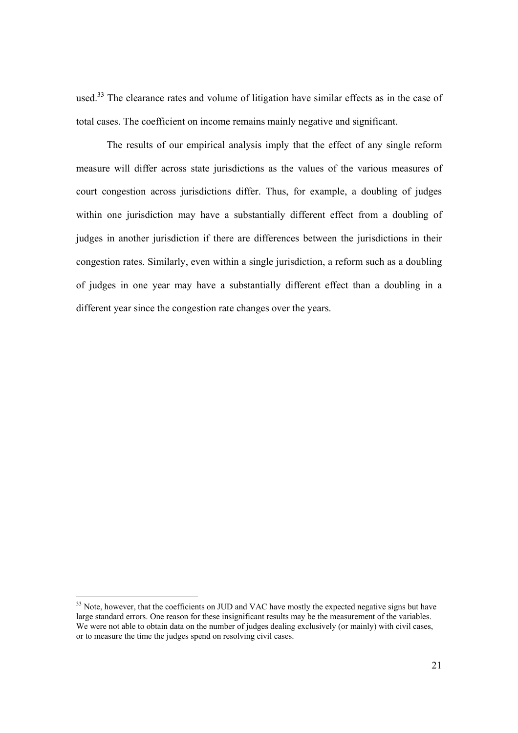used.<sup>33</sup> The clearance rates and volume of litigation have similar effects as in the case of total cases. The coefficient on income remains mainly negative and significant.

 The results of our empirical analysis imply that the effect of any single reform measure will differ across state jurisdictions as the values of the various measures of court congestion across jurisdictions differ. Thus, for example, a doubling of judges within one jurisdiction may have a substantially different effect from a doubling of judges in another jurisdiction if there are differences between the jurisdictions in their congestion rates. Similarly, even within a single jurisdiction, a reform such as a doubling of judges in one year may have a substantially different effect than a doubling in a different year since the congestion rate changes over the years.

 $33$  Note, however, that the coefficients on JUD and VAC have mostly the expected negative signs but have large standard errors. One reason for these insignificant results may be the measurement of the variables. We were not able to obtain data on the number of judges dealing exclusively (or mainly) with civil cases, or to measure the time the judges spend on resolving civil cases.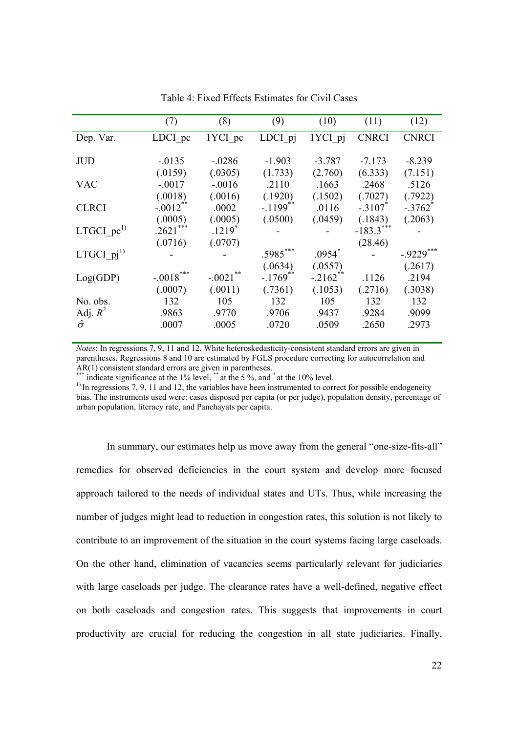|                              | (7)                               | (8)                             | (9)                               | (10)                 | (11)                             | (12)                             |
|------------------------------|-----------------------------------|---------------------------------|-----------------------------------|----------------------|----------------------------------|----------------------------------|
| Dep. Var.                    | LDCI pc                           | 1YCI pc                         | LDCI pj                           | 1YCI pj              | <b>CNRCI</b>                     | <b>CNRCI</b>                     |
| <b>JUD</b>                   | $-0.0135$                         | $-.0286$                        | $-1.903$                          | $-3.787$             | $-7.173$                         | $-8.239$                         |
| <b>VAC</b>                   | (.0159)<br>$-.0017$               | (.0305)<br>$-.0016$             | (1.733)<br>.2110                  | (2.760)<br>.1663     | (6.333)<br>.2468                 | (7.151)<br>.5126                 |
| <b>CLRCI</b>                 | (.0018)<br>$-.0012$ <sup>**</sup> | (.0016)<br>.0002                | (.1920)<br>$-.1199$ <sup>**</sup> | (.1502)<br>.0116     | (.7027)<br>$-.3107$ <sup>*</sup> | (.7922)<br>$-.3762$ <sup>*</sup> |
|                              | (.0005)<br>***                    | (.0005)                         | (.0500)                           | (.0459)              | (.1843)                          | (.2063)                          |
| LTGCI $pc1$                  | .2621<br>(.0716)                  | $.1219$ <sup>*</sup><br>(.0707) |                                   |                      | $-183.3***$<br>(28.46)           |                                  |
| LTGCI $pi^{1}$               |                                   |                                 | $.5985***$                        | $.0954*$             |                                  | $-.9229***$                      |
| Log(GDP)                     | $-.0018***$                       | $-.0021$                        | (.0634)<br>$-.1769$               | (.0557)<br>$-.2162]$ | .1126                            | (.2617)<br>.2194                 |
| No. obs.                     | (.0007)<br>132                    | (.0011)<br>105                  | (.7361)<br>132                    | (.1053)<br>105       | (.2716)<br>132                   | (.3038)<br>132                   |
| Adj. $R^2$<br>$\hat{\sigma}$ | .9863<br>.0007                    | .9770<br>.0005                  | .9706<br>.0720                    | .9437<br>.0509       | .9284<br>.2650                   | .9099<br>.2973                   |
|                              |                                   |                                 |                                   |                      |                                  |                                  |

Table 4: Fixed Effects Estimates for Civil Cases

*Notes*: In regressions 7, 9, 11 and 12, White heteroskedasticity-consistent standard errors are given in parentheses. Regressions 8 and 10 are estimated by FGLS procedure correcting for autocorrelation and AR(1) consistent standard errors are given in parentheses.

\*\*\*\* indicate significance at the 1% level, \*\*\* at the 5 %, and \* at the 10% level.

<sup>1)</sup> In regressions 7, 9, 11 and 12, the variables have been instrumented to correct for possible endogeneity bias. The instruments used were: cases disposed per capita (or per judge), population density, percentage of urban population, literacy rate, and Panchayats per capita.

In summary, our estimates help us move away from the general "one-size-fits-all" remedies for observed deficiencies in the court system and develop more focused approach tailored to the needs of individual states and UTs. Thus, while increasing the number of judges might lead to reduction in congestion rates, this solution is not likely to contribute to an improvement of the situation in the court systems facing large caseloads. On the other hand, elimination of vacancies seems particularly relevant for judiciaries with large caseloads per judge. The clearance rates have a well-defined, negative effect on both caseloads and congestion rates. This suggests that improvements in court productivity are crucial for reducing the congestion in all state judiciaries. Finally,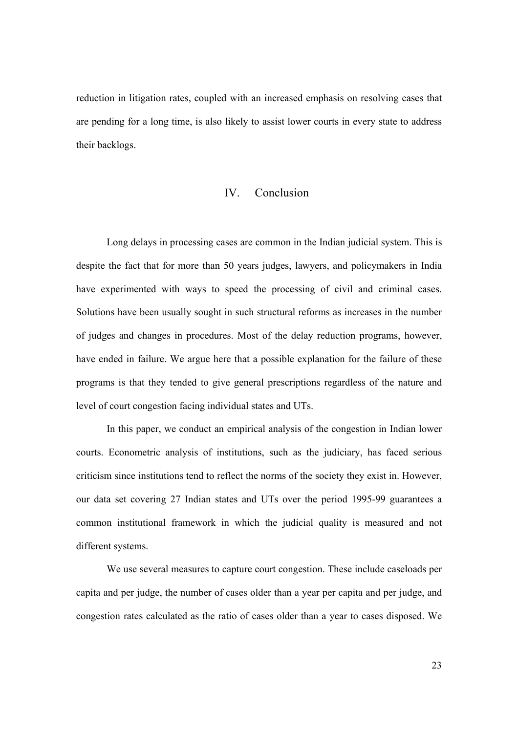reduction in litigation rates, coupled with an increased emphasis on resolving cases that are pending for a long time, is also likely to assist lower courts in every state to address their backlogs.

## IV. Conclusion

Long delays in processing cases are common in the Indian judicial system. This is despite the fact that for more than 50 years judges, lawyers, and policymakers in India have experimented with ways to speed the processing of civil and criminal cases. Solutions have been usually sought in such structural reforms as increases in the number of judges and changes in procedures. Most of the delay reduction programs, however, have ended in failure. We argue here that a possible explanation for the failure of these programs is that they tended to give general prescriptions regardless of the nature and level of court congestion facing individual states and UTs.

In this paper, we conduct an empirical analysis of the congestion in Indian lower courts. Econometric analysis of institutions, such as the judiciary, has faced serious criticism since institutions tend to reflect the norms of the society they exist in. However, our data set covering 27 Indian states and UTs over the period 1995-99 guarantees a common institutional framework in which the judicial quality is measured and not different systems.

We use several measures to capture court congestion. These include caseloads per capita and per judge, the number of cases older than a year per capita and per judge, and congestion rates calculated as the ratio of cases older than a year to cases disposed. We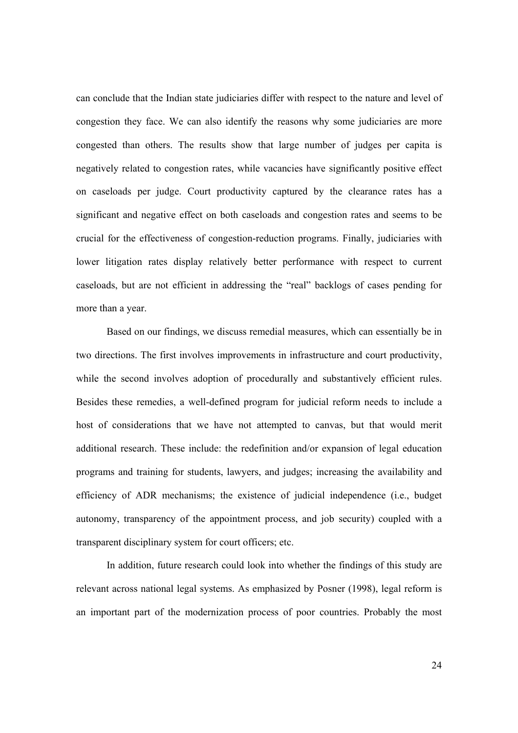can conclude that the Indian state judiciaries differ with respect to the nature and level of congestion they face. We can also identify the reasons why some judiciaries are more congested than others. The results show that large number of judges per capita is negatively related to congestion rates, while vacancies have significantly positive effect on caseloads per judge. Court productivity captured by the clearance rates has a significant and negative effect on both caseloads and congestion rates and seems to be crucial for the effectiveness of congestion-reduction programs. Finally, judiciaries with lower litigation rates display relatively better performance with respect to current caseloads, but are not efficient in addressing the "real" backlogs of cases pending for more than a year.

Based on our findings, we discuss remedial measures, which can essentially be in two directions. The first involves improvements in infrastructure and court productivity, while the second involves adoption of procedurally and substantively efficient rules. Besides these remedies, a well-defined program for judicial reform needs to include a host of considerations that we have not attempted to canvas, but that would merit additional research. These include: the redefinition and/or expansion of legal education programs and training for students, lawyers, and judges; increasing the availability and efficiency of ADR mechanisms; the existence of judicial independence (i.e., budget autonomy, transparency of the appointment process, and job security) coupled with a transparent disciplinary system for court officers; etc.

 In addition, future research could look into whether the findings of this study are relevant across national legal systems. As emphasized by Posner (1998), legal reform is an important part of the modernization process of poor countries. Probably the most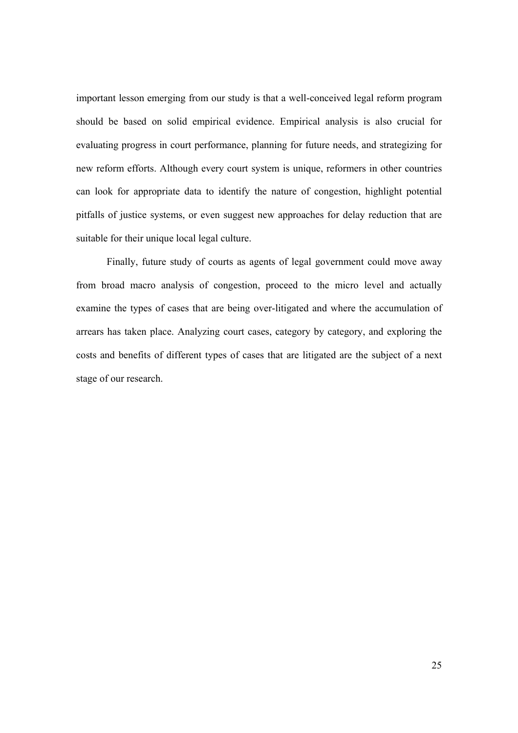important lesson emerging from our study is that a well-conceived legal reform program should be based on solid empirical evidence. Empirical analysis is also crucial for evaluating progress in court performance, planning for future needs, and strategizing for new reform efforts. Although every court system is unique, reformers in other countries can look for appropriate data to identify the nature of congestion, highlight potential pitfalls of justice systems, or even suggest new approaches for delay reduction that are suitable for their unique local legal culture.

 Finally, future study of courts as agents of legal government could move away from broad macro analysis of congestion, proceed to the micro level and actually examine the types of cases that are being over-litigated and where the accumulation of arrears has taken place. Analyzing court cases, category by category, and exploring the costs and benefits of different types of cases that are litigated are the subject of a next stage of our research.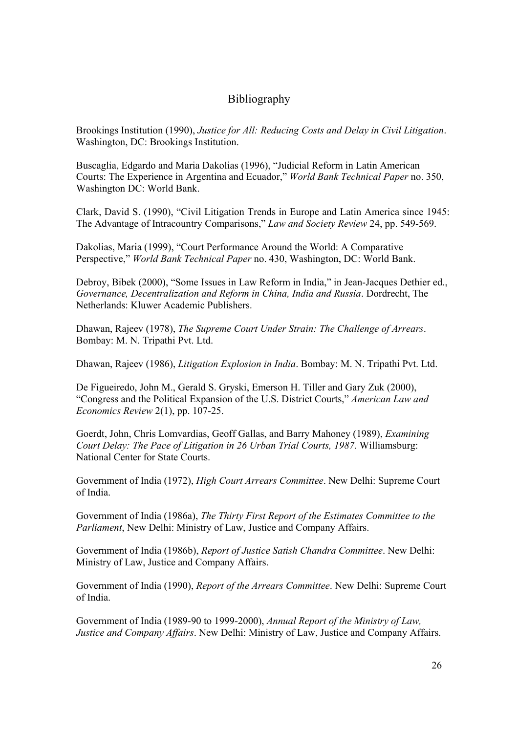# Bibliography

Brookings Institution (1990), *Justice for All: Reducing Costs and Delay in Civil Litigation*. Washington, DC: Brookings Institution.

Buscaglia, Edgardo and Maria Dakolias (1996), "Judicial Reform in Latin American Courts: The Experience in Argentina and Ecuador," *World Bank Technical Paper* no. 350, Washington DC: World Bank.

Clark, David S. (1990), "Civil Litigation Trends in Europe and Latin America since 1945: The Advantage of Intracountry Comparisons," *Law and Society Review* 24, pp. 549-569.

Dakolias, Maria (1999), "Court Performance Around the World: A Comparative Perspective," *World Bank Technical Paper* no. 430, Washington, DC: World Bank.

Debroy, Bibek (2000), "Some Issues in Law Reform in India," in Jean-Jacques Dethier ed., *Governance, Decentralization and Reform in China, India and Russia*. Dordrecht, The Netherlands: Kluwer Academic Publishers.

Dhawan, Rajeev (1978), *The Supreme Court Under Strain: The Challenge of Arrears*. Bombay: M. N. Tripathi Pvt. Ltd.

Dhawan, Rajeev (1986), *Litigation Explosion in India*. Bombay: M. N. Tripathi Pvt. Ltd.

De Figueiredo, John M., Gerald S. Gryski, Emerson H. Tiller and Gary Zuk (2000), "Congress and the Political Expansion of the U.S. District Courts," *American Law and Economics Review* 2(1), pp. 107-25.

Goerdt, John, Chris Lomvardias, Geoff Gallas, and Barry Mahoney (1989), *Examining Court Delay: The Pace of Litigation in 26 Urban Trial Courts, 1987*. Williamsburg: National Center for State Courts.

Government of India (1972), *High Court Arrears Committee*. New Delhi: Supreme Court of India.

Government of India (1986a), *The Thirty First Report of the Estimates Committee to the Parliament*, New Delhi: Ministry of Law, Justice and Company Affairs.

Government of India (1986b), *Report of Justice Satish Chandra Committee*. New Delhi: Ministry of Law, Justice and Company Affairs.

Government of India (1990), *Report of the Arrears Committee*. New Delhi: Supreme Court of India.

Government of India (1989-90 to 1999-2000), *Annual Report of the Ministry of Law, Justice and Company Affairs*. New Delhi: Ministry of Law, Justice and Company Affairs.